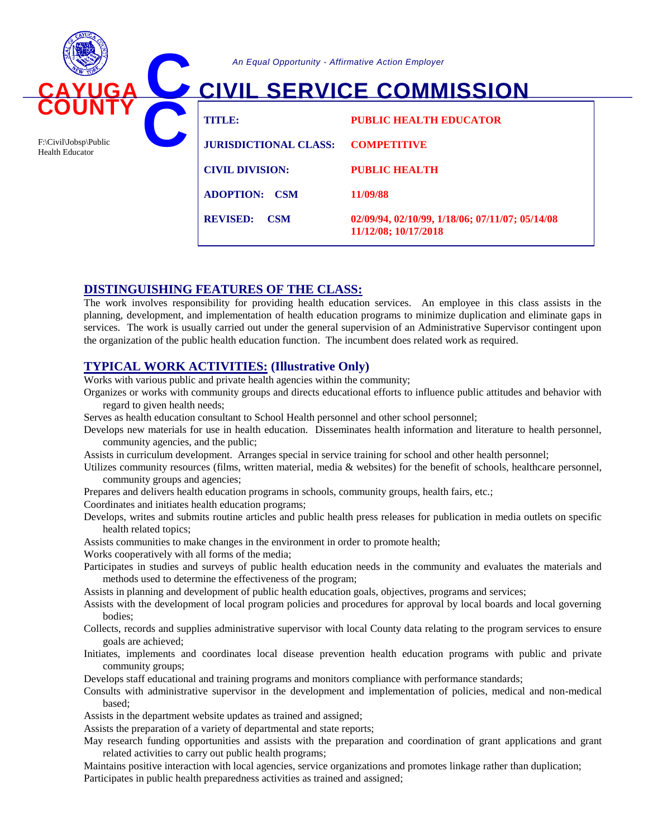

*An Equal Opportunity - Affirmative Action Employer*

# **CIVIL SERVICE COMMISSION**

| TITILE:                       | <b>PUBLIC HEALTH EDUCATOR</b>                                           |
|-------------------------------|-------------------------------------------------------------------------|
| <b>JURISDICTIONAL CLASS:</b>  | <b>COMPETITIVE</b>                                                      |
| <b>CIVIL DIVISION:</b>        | <b>PUBLIC HEALTH</b>                                                    |
| <b>ADOPTION: CSM</b>          | 11/09/88                                                                |
| <b>REVISED:</b><br><b>CSM</b> | 02/09/94, 02/10/99, 1/18/06; 07/11/07; 05/14/08<br>11/12/08; 10/17/2018 |

## **DISTINGUISHING FEATURES OF THE CLASS:**

The work involves responsibility for providing health education services. An employee in this class assists in the planning, development, and implementation of health education programs to minimize duplication and eliminate gaps in services. The work is usually carried out under the general supervision of an Administrative Supervisor contingent upon the organization of the public health education function. The incumbent does related work as required.

# **TYPICAL WORK ACTIVITIES: (Illustrative Only)**

Works with various public and private health agencies within the community;

Organizes or works with community groups and directs educational efforts to influence public attitudes and behavior with regard to given health needs;

Serves as health education consultant to School Health personnel and other school personnel;

Develops new materials for use in health education. Disseminates health information and literature to health personnel, community agencies, and the public;

Assists in curriculum development. Arranges special in service training for school and other health personnel;

- Utilizes community resources (films, written material, media  $\&$  websites) for the benefit of schools, healthcare personnel, community groups and agencies;
- Prepares and delivers health education programs in schools, community groups, health fairs, etc.;

Coordinates and initiates health education programs;

Develops, writes and submits routine articles and public health press releases for publication in media outlets on specific health related topics;

Assists communities to make changes in the environment in order to promote health;

Works cooperatively with all forms of the media;

Participates in studies and surveys of public health education needs in the community and evaluates the materials and methods used to determine the effectiveness of the program;

Assists in planning and development of public health education goals, objectives, programs and services;

- Assists with the development of local program policies and procedures for approval by local boards and local governing bodies;
- Collects, records and supplies administrative supervisor with local County data relating to the program services to ensure goals are achieved;
- Initiates, implements and coordinates local disease prevention health education programs with public and private community groups;

Develops staff educational and training programs and monitors compliance with performance standards;

Consults with administrative supervisor in the development and implementation of policies, medical and non-medical based;

Assists in the department website updates as trained and assigned;

Assists the preparation of a variety of departmental and state reports;

May research funding opportunities and assists with the preparation and coordination of grant applications and grant related activities to carry out public health programs;

Maintains positive interaction with local agencies, service organizations and promotes linkage rather than duplication; Participates in public health preparedness activities as trained and assigned;